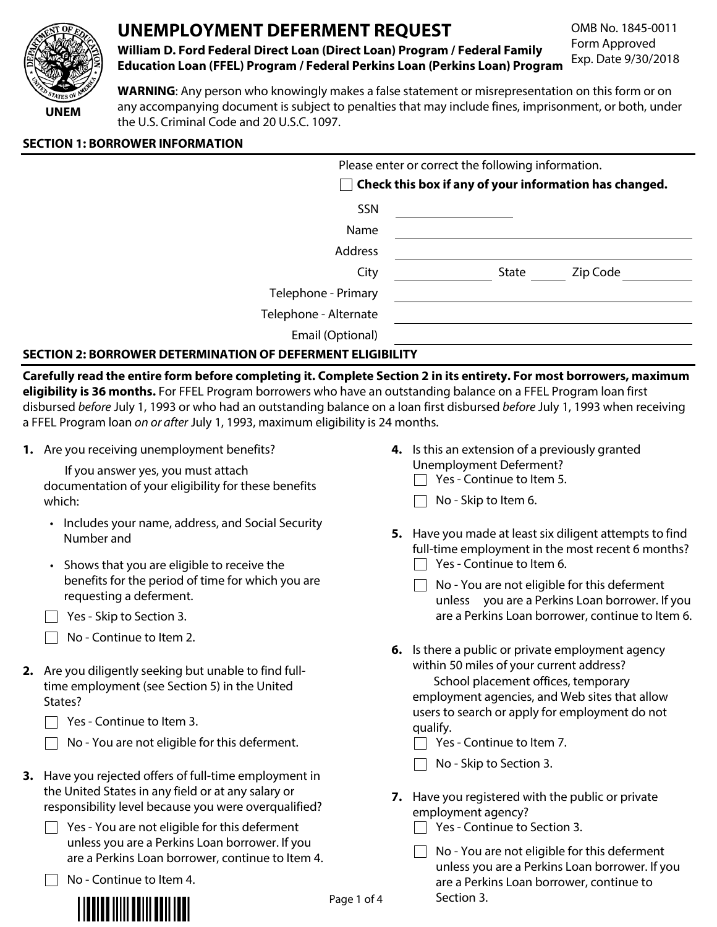

# UNEMPLOYMENT DEFERMENT REQUEST

OMB No. 1845-0011 Form Approved Exp. Date 9/30/2018

William D. Ford Federal Direct Loan (Direct Loan) Program / Federal Family **Education Loan (FFEL) Program / Federal Perkins Loan (Perkins Loan) Program** 

WARNING: Any person who knowingly makes a false statement or misrepresentation on this form or on any accompanying document is subject to penalties that may include fines, imprisonment, or both, under the U.S. Criminal Code and 20 U.S.C. 1097.

## **SECTION 1: BORROWER INFORMATION**

|                       | Please enter or correct the following information.            |  |  |  |  |  |
|-----------------------|---------------------------------------------------------------|--|--|--|--|--|
|                       | $\Box$ Check this box if any of your information has changed. |  |  |  |  |  |
| SSN                   |                                                               |  |  |  |  |  |
| Name                  |                                                               |  |  |  |  |  |
| Address               |                                                               |  |  |  |  |  |
| City                  | Zip Code<br>State                                             |  |  |  |  |  |
| Telephone - Primary   |                                                               |  |  |  |  |  |
| Telephone - Alternate |                                                               |  |  |  |  |  |
| Email (Optional)      |                                                               |  |  |  |  |  |
|                       |                                                               |  |  |  |  |  |

## **SECTION 2: BORROWER DETERMINATION OF DEFERMENT ELIGIBILITY**

Carefully read the entire form before completing it. Complete Section 2 in its entirety. For most borrowers, maximum eligibility is 36 months. For FFEL Program borrowers who have an outstanding balance on a FFEL Program loan first disbursed before July 1, 1993 or who had an outstanding balance on a loan first disbursed before July 1, 1993 when receiving a FFEL Program loan on or after July 1, 1993, maximum eligibility is 24 months.

1. Are you receiving unemployment benefits?

If you answer yes, you must attach documentation of your eligibility for these benefits which:

- Includes your name, address, and Social Security Number and
- Shows that you are eligible to receive the benefits for the period of time for which you are requesting a deferment.
- $\Box$  Yes Skip to Section 3.
- $\Box$  No Continue to Item 2.
- 2. Are you diligently seeking but unable to find fulltime employment (see Section 5) in the United States?
	- $\Box$  Yes Continue to Item 3.
	- No You are not eligible for this deferment.
- 3. Have you rejected offers of full-time employment in the United States in any field or at any salary or responsibility level because you were overqualified?
	- $\Box$  Yes You are not eligible for this deferment unless you are a Perkins Loan borrower. If you are a Perkins Loan borrower, continue to Item 4.

 $\Box$  No - Continue to Item 4.



- 4. Is this an extension of a previously granted Unemployment Deferment?
	- $\Box$  Yes Continue to Item 5.
	- $\Box$  No Skip to Item 6.
- 5. Have you made at least six diligent attempts to find full-time employment in the most recent 6 months?  $\Box$  Yes - Continue to Item 6.
	- $\Box$  No You are not eligible for this deferment unless you are a Perkins Loan borrower. If you are a Perkins Loan borrower, continue to Item 6.
- 6. Is there a public or private employment agency within 50 miles of your current address?

School placement offices, temporary employment agencies, and Web sites that allow users to search or apply for employment do not qualify.

- $\Box$  Yes Continue to Item 7.
- $\Box$  No Skip to Section 3.
- 7. Have you registered with the public or private employment agency?
	- $\Box$  Yes Continue to Section 3.
	- $\Box$  No You are not eligible for this deferment unless you are a Perkins Loan borrower. If you are a Perkins Loan borrower, continue to Section 3.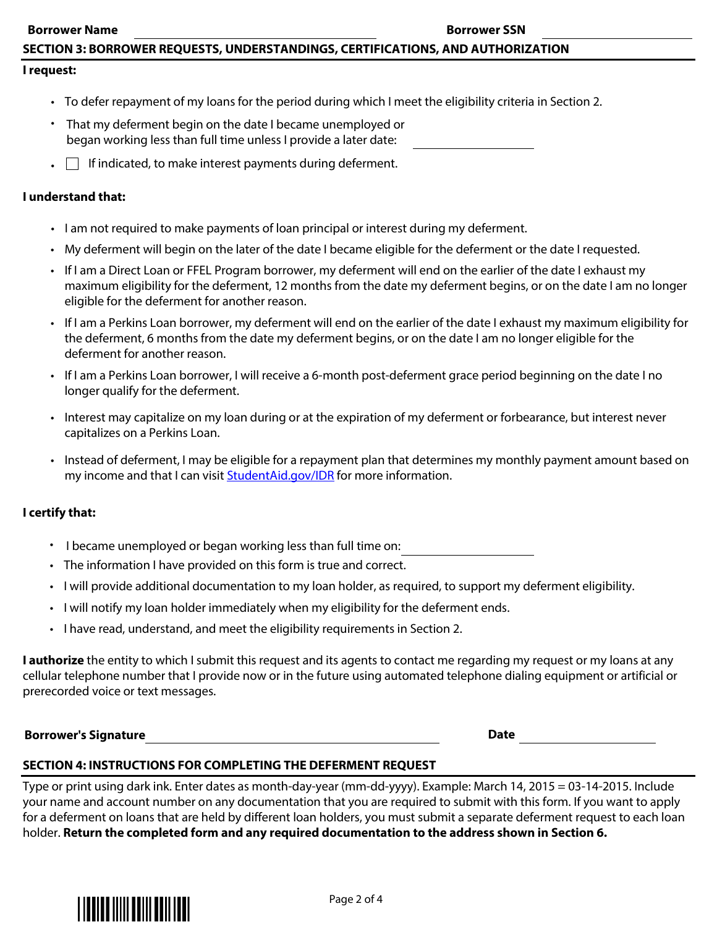## SECTION 3: BORROWER REQUESTS, UNDERSTANDINGS, CERTIFICATIONS, AND AUTHORIZATION

#### I request:

- To defer repayment of my loans for the period during which I meet the eligibility criteria in Section 2.
- That my deferment begin on the date I became unemployed or began working less than full time unless I provide a later date:
- $\blacksquare$  If indicated, to make interest payments during deferment.

#### I understand that:

- $\blacksquare$  I am not required to make payments of loan principal or interest during my deferment.
- My deferment will begin on the later of the date I became eligible for the deferment or the date I requested.
- If I am a Direct Loan or FFEL Program borrower, my deferment will end on the earlier of the date I exhaust my maximum eligibility for the deferment, 12 months from the date my deferment begins, or on the date I am no longer eligible for the deferment for another reason.
- If I am a Perkins Loan borrower, my deferment will end on the earlier of the date I exhaust my maximum eligibility for the deferment, 6 months from the date my deferment begins, or on the date I am no longer eligible for the deferment for another reason.
- $\cdot$  If Lam a Perkins Loan borrower, I will receive a 6-month post-deferment grace period beginning on the date I no longer qualify for the deferment.
- Interest may capitalize on my loan during or at the expiration of my deferment or forbearance, but interest never capitalizes on a Perkins Loan.
- Instead of deferment, I may be eligible for a repayment plan that determines my monthly payment amount based on my income and that I can visit StudentAid.gov/IDR for more information.

#### I certify that:

- I became unemployed or began working less than full time on:
- Fig. The information I have provided on this form is true and correct.
- $\cdot$  I will provide additional documentation to my loan holder, as required, to support my deferment eligibility.
- I will notify my loan holder immediately when my eligibility for the deferment ends.
- I have read, understand, and meet the eligibility requirements in Section 2.

**I authorize** the entity to which I submit this request and its agents to contact me regarding my request or my loans at any cellular telephone number that I provide now or in the future using automated telephone dialing equipment or artificial or prerecorded voice or text messages.

2020 Borrower's Signature and Superior Section 1, 2020 1, 2020 1, 2020 1, 2020 1, 2020 1, 2020 1, 2020 1, 2020

#### SECTION 4: INSTRUCTIONS FOR COMPLETING THE DEFERMENT REQUEST

Type or print using dark ink. Enter dates as month-day-year (mm-dd-yyyy). Example: March 14, 2015 = 03-14-2015. Include your name and account number on any documentation that you are required to submit with this form. If you want to apply for a deferment on loans that are held by different loan holders, you must submit a separate deferment request to each loan holder. Return the completed form and any required documentation to the address shown in Section 6.

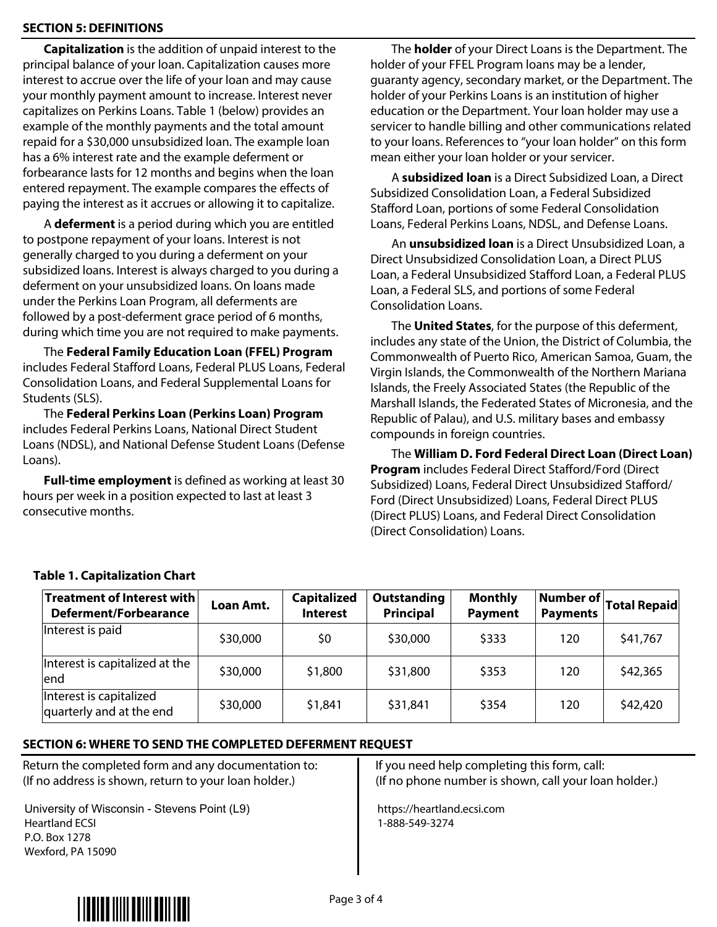## **SECTION 5: DEFINITIONS**

**Capitalization** is the addition of unpaid interest to the principal balance of your loan. Capitalization causes more interest to accrue over the life of your loan and may cause your monthly payment amount to increase. Interest never capitalizes on Perkins Loans. Table 1 (below) provides an example of the monthly payments and the total amount repaid for a \$30,000 unsubsidized loan. The example loan has a 6% interest rate and the example deferment or forbearance lasts for 12 months and begins when the loan entered repayment. The example compares the effects of paying the interest as it accrues or allowing it to capitalize.

A deferment is a period during which you are entitled to postpone repayment of your loans. Interest is not generally charged to you during a deferment on your subsidized loans. Interest is always charged to you during a deferment on your unsubsidized loans. On loans made under the Perkins Loan Program, all deferments are followed by a post-deferment grace period of 6 months, during which time you are not required to make payments.

The Federal Family Education Loan (FFEL) Program includes Federal Stafford Loans, Federal PLUS Loans, Federal Consolidation Loans, and Federal Supplemental Loans for Students (SLS).

The Federal Perkins Loan (Perkins Loan) Program includes Federal Perkins Loans, National Direct Student Loans (NDSL), and National Defense Student Loans (Defense Loans).

**Full-time employment** is defined as working at least 30 hours per week in a position expected to last at least 3  $\overline{\phantom{a}}$  consecutive months.

The **holder** of your Direct Loans is the Department. The holder of your FFEL Program loans may be a lender, guaranty agency, secondary market, or the Department. The holder of your Perkins Loans is an institution of higher education or the Department. Your loan holder may use a servicer to handle billing and other communications related to your loans. References to "your loan holder" on this form mean either your loan holder or your servicer.

A subsidized loan is a Direct Subsidized Loan, a Direct Subsidized Consolidation Loan, a Federal Subsidized Stafford Loan, portions of some Federal Consolidation Loans, Federal Perkins Loans, NDSL, and Defense Loans.

An **unsubsidized loan** is a Direct Unsubsidized Loan, a Direct Unsubsidized Consolidation Loan, a Direct PLUS Loan, a Federal Unsubsidized Stafford Loan, a Federal PLUS Loan, a Federal SLS, and portions of some Federal Consolidation Loans.

The **United States**, for the purpose of this deferment, includes any state of the Union, the District of Columbia, the Commonwealth of Puerto Rico, American Samoa, Guam, the Virgin Islands, the Commonwealth of the Northern Mariana Islands, the Freely Associated States (the Republic of the Marshall Islands, the Federated States of Micronesia, and the Republic of Palau), and U.S. military bases and embassy compounds in foreign countries.

The William D. Ford Federal Direct Loan (Direct Loan) Program includes Federal Direct Stafford/Ford (Direct Subsidized) Loans, Federal Direct Unsubsidized Stafford/ Ford (Direct Unsubsidized) Loans, Federal Direct PLUS (Direct PLUS) Loans, and Federal Direct Consolidation (Direct Consolidation) Loans.

| Treatment of Interest with<br><b>Deferment/Forbearance</b> | Loan Amt. | <b>Capitalized</b><br><b>Interest</b> | <b>Outstanding</b><br><b>Principal</b> | <b>Monthly</b><br><b>Payment</b> | Number of  <br><b>Payments</b> | Total Repaid |
|------------------------------------------------------------|-----------|---------------------------------------|----------------------------------------|----------------------------------|--------------------------------|--------------|
| Interest is paid                                           | \$30,000  | \$0                                   | \$30,000                               | \$333                            | 120                            | \$41,767     |
| Interest is capitalized at the<br>lend                     | \$30,000  | \$1,800                               | \$31,800                               | \$353                            | 120                            | \$42,365     |
| Interest is capitalized<br>quarterly and at the end        | \$30,000  | \$1,841                               | \$31,841                               | \$354                            | 120                            | \$42,420     |

## Table 1. Capitalization Chart

## SECTION 6: WHERE TO SEND THE COMPLETED DEFERMENT REQUEST

Return the completed form and any documentation to: (If no address is shown, return to your loan holder.)

University of Wisconsin - Stevens Point (L9) Heartland ECSI P.O. Box 1278 Wexford, PA 15090

If you need help completing this form, call:  $\left($  If no phone number is shown, call your loan holder.)

https://heartland.ecsi.com 1-888-549-3274